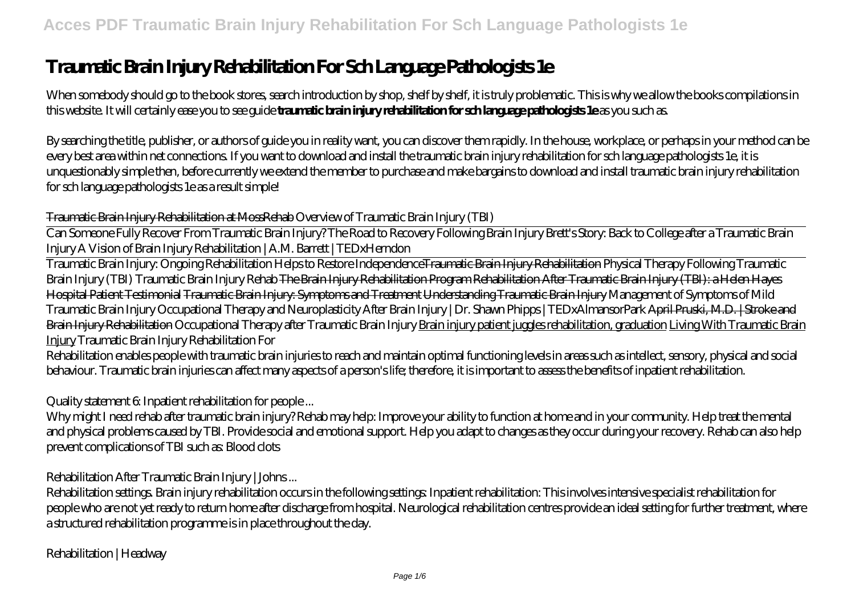# **Traumatic Brain Injury Rehabilitation For Sch Language Pathologists 1e**

When somebody should go to the book stores, search introduction by shop, shelf by shelf, it is truly problematic. This is why we allow the books compilations in this website. It will certainly ease you to see guide **traumatic brain injury rehabilitation for sch language pathologists 1e** as you such as.

By searching the title, publisher, or authors of guide you in reality want, you can discover them rapidly. In the house, workplace, or perhaps in your method can be every best area within net connections. If you want to download and install the traumatic brain injury rehabilitation for sch language pathologists 1e, it is unquestionably simple then, before currently we extend the member to purchase and make bargains to download and install traumatic brain injury rehabilitation for sch language pathologists 1e as a result simple!

#### Traumatic Brain Injury Rehabilitation at MossRehab Overview of Traumatic Brain Injury (TBI)

Can Someone Fully Recover From Traumatic Brain Injury? The Road to Recovery Following Brain Injury Brett's Story: Back to College after a Traumatic Brain Injury A Vision of Brain Injury Rehabilitation | A.M. Barrett | TEDxHerndon

Traumatic Brain Injury: Ongoing Rehabilitation Helps to Restore IndependenceTraumatic Brain Injury Rehabilitation *Physical Therapy Following Traumatic Brain Injury (TBI) Traumatic Brain Injury Rehab* The Brain Injury Rehabilitation Program Rehabilitation After Traumatic Brain Injury (TBI): a Helen Hayes Hospital Patient Testimonial Traumatic Brain Injury: Symptoms and Treatment Understanding Traumatic Brain Injury Management of Symptoms of Mild Traumatic Brain Injury *Occupational Therapy and Neuroplasticity After Brain Injury | Dr. Shawn Phipps | TEDxAlmansorPark* April Pruski, M.D. | Stroke and Brain Injury Rehabilitation *Occupational Therapy after Traumatic Brain Injury* Brain injury patient juggles rehabilitation, graduation Living With Traumatic Brain Injury *Traumatic Brain Injury Rehabilitation For*

Rehabilitation enables people with traumatic brain injuries to reach and maintain optimal functioning levels in areas such as intellect, sensory, physical and social behaviour. Traumatic brain injuries can affect many aspects of a person's life; therefore, it is important to assess the benefits of inpatient rehabilitation.

#### *Quality statement 6: Inpatient rehabilitation for people ...*

Why might I need rehab after traumatic brain injury? Rehab may help: Improve your ability to function at home and in your community. Help treat the mental and physical problems caused by TBI. Provide social and emotional support. Help you adapt to changes as they occur during your recovery. Rehab can also help prevent complications of TBI such as: Blood clots

#### *Rehabilitation After Traumatic Brain Injury | Johns ...*

Rehabilitation settings. Brain injury rehabilitation occurs in the following settings: Inpatient rehabilitation: This involves intensive specialist rehabilitation for people who are not yet ready to return home after discharge from hospital. Neurological rehabilitation centres provide an ideal setting for further treatment, where a structured rehabilitation programme is in place throughout the day.

# *Rehabilitation | Headway*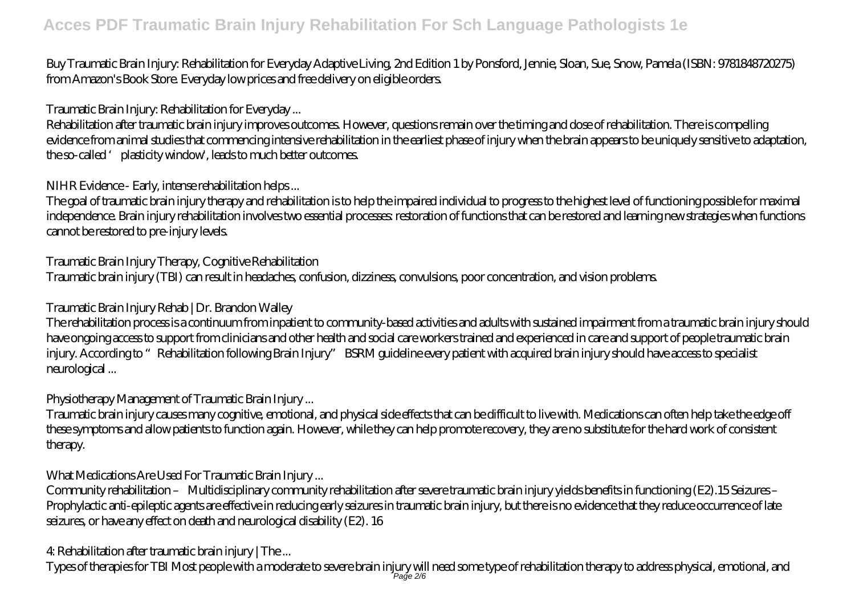Buy Traumatic Brain Injury: Rehabilitation for Everyday Adaptive Living, 2nd Edition 1 by Ponsford, Jennie, Sloan, Sue, Snow, Pamela (ISBN: 9781848720275) from Amazon's Book Store. Everyday low prices and free delivery on eligible orders.

# *Traumatic Brain Injury: Rehabilitation for Everyday ...*

Rehabilitation after traumatic brain injury improves outcomes. However, questions remain over the timing and dose of rehabilitation. There is compelling evidence from animal studies that commencing intensive rehabilitation in the earliest phase of injury when the brain appears to be uniquely sensitive to adaptation, the so-called 'plasticity window', leads to much better outcomes.

### *NIHR Evidence - Early, intense rehabilitation helps ...*

The goal of traumatic brain injury therapy and rehabilitation is to help the impaired individual to progress to the highest level of functioning possible for maximal independence. Brain injury rehabilitation involves two essential processes: restoration of functions that can be restored and learning new strategies when functions cannot be restored to pre-injury levels.

# *Traumatic Brain Injury Therapy, Cognitive Rehabilitation*

Traumatic brain injury (TBI) can result in headaches, confusion, dizziness, convulsions, poor concentration, and vision problems.

# *Traumatic Brain Injury Rehab | Dr. Brandon Walley*

The rehabilitation process is a continuum from inpatient to community-based activities and adults with sustained impairment from a traumatic brain injury should have ongoing access to support from clinicians and other health and social care workers trained and experienced in care and support of people traumatic brain injury. According to "Rehabilitation following Brain Injury" BSRM guideline every patient with acquired brain injury should have access to specialist neurological ...

# *Physiotherapy Management of Traumatic Brain Injury ...*

Traumatic brain injury causes many cognitive, emotional, and physical side effects that can be difficult to live with. Medications can often help take the edge off these symptoms and allow patients to function again. However, while they can help promote recovery, they are no substitute for the hard work of consistent therapy.

# *What Medications Are Used For Traumatic Brain Injury ...*

Community rehabilitation – Multidisciplinary community rehabilitation after severe traumatic brain injury yields benefits in functioning (E2).15 Seizures – Prophylactic anti-epileptic agents are effective in reducing early seizures in traumatic brain injury, but there is no evidence that they reduce occurrence of late seizures, or have any effect on death and neurological disability (E2). 16

# *4: Rehabilitation after traumatic brain injury | The ...*

Types of therapies for TBI Most people with a moderate to severe brain injury will need some type of rehabilitation therapy to address physical, emotional, and<br>Page 2/6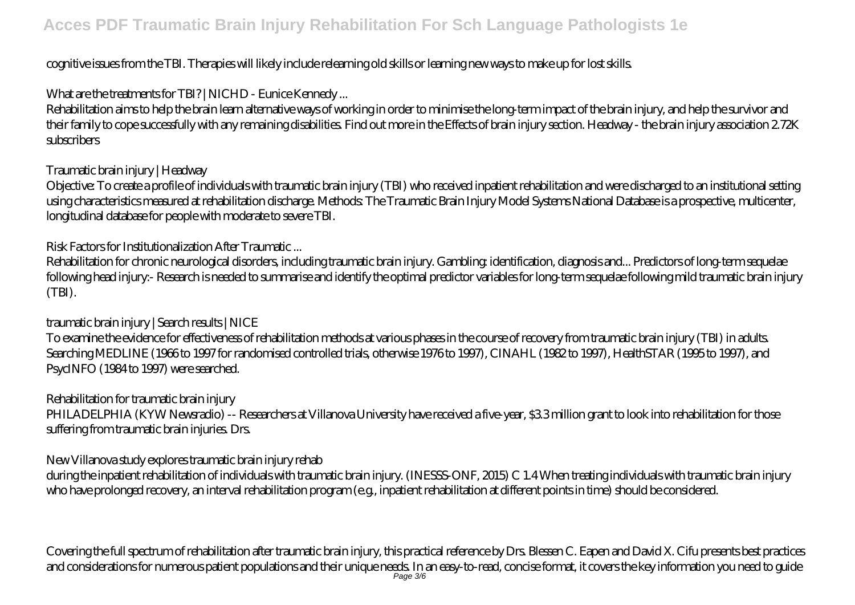#### cognitive issues from the TBI. Therapies will likely include relearning old skills or learning new ways to make up for lost skills.

#### *What are the treatments for TBI? | NICHD - Eunice Kennedy ...*

Rehabilitation aims to help the brain learn alternative ways of working in order to minimise the long-term impact of the brain injury, and help the survivor and their family to cope successfully with any remaining disabilities. Find out more in the Effects of brain injury section. Headway - the brain injury association 2.72K subscribers

#### *Traumatic brain injury | Headway*

Objective: To create a profile of individuals with traumatic brain injury (TBI) who received inpatient rehabilitation and were discharged to an institutional setting using characteristics measured at rehabilitation discharge. Methods: The Traumatic Brain Injury Model Systems National Database is a prospective, multicenter, longitudinal database for people with moderate to severe TBI.

#### *Risk Factors for Institutionalization After Traumatic ...*

Rehabilitation for chronic neurological disorders, including traumatic brain injury. Gambling: identification, diagnosis and... Predictors of long-term sequelae following head injury:- Research is needed to summarise and identify the optimal predictor variables for long-term sequelae following mild traumatic brain injury (TBI).

#### *traumatic brain injury | Search results | NICE*

To examine the evidence for effectiveness of rehabilitation methods at various phases in the course of recovery from traumatic brain injury (TBI) in adults. Searching MEDLINE (1966 to 1997 for randomised controlled trials, otherwise 1976 to 1997), CINAHL (1982 to 1997), HealthSTAR (1995 to 1997), and PsycINFO (1984 to 1997) were searched.

#### *Rehabilitation for traumatic brain injury*

PHILADELPHIA (KYW Newsradio) -- Researchers at Villanova University have received a five-year, \$3.3 million grant to look into rehabilitation for those suffering from traumatic brain injuries. Drs.

#### *New Villanova study explores traumatic brain injury rehab*

during the inpatient rehabilitation of individuals with traumatic brain injury. (INESSS-ONF, 2015) C 1.4 When treating individuals with traumatic brain injury who have prolonged recovery, an interval rehabilitation program (e.g., inpatient rehabilitation at different points in time) should be considered.

Covering the full spectrum of rehabilitation after traumatic brain injury, this practical reference by Drs. Blessen C. Eapen and David X. Cifu presents best practices and considerations for numerous patient populations and their unique needs. In an easy-to-read, concise format, it covers the key information you need to guide<br>Page 3/6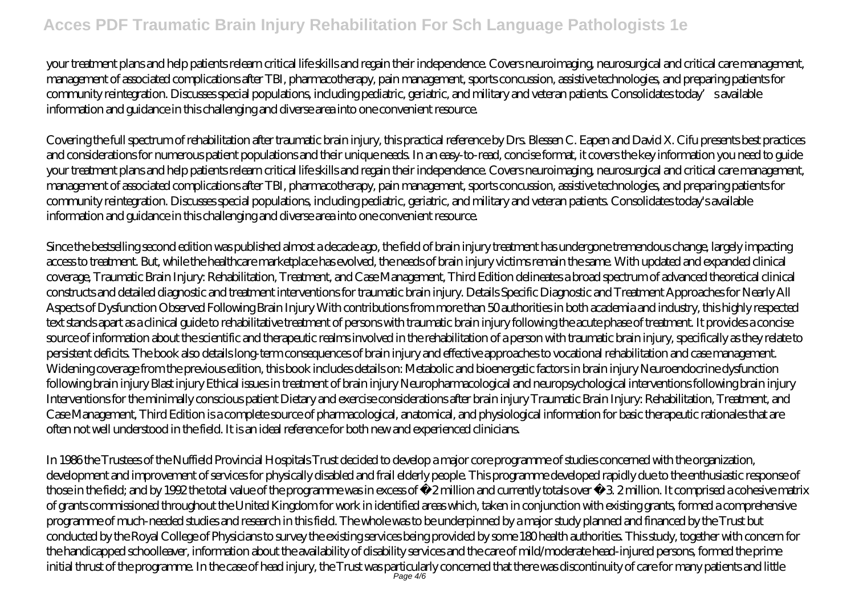# **Acces PDF Traumatic Brain Injury Rehabilitation For Sch Language Pathologists 1e**

your treatment plans and help patients relearn critical life skills and regain their independence. Covers neuroimaging, neurosurgical and critical care management, management of associated complications after TBI, pharmacotherapy, pain management, sports concussion, assistive technologies, and preparing patients for community reintegration. Discusses special populations, including pediatric, geriatric, and military and veteran patients. Consolidates today's available information and guidance in this challenging and diverse area into one convenient resource.

Covering the full spectrum of rehabilitation after traumatic brain injury, this practical reference by Drs. Blessen C. Eapen and David X. Cifu presents best practices and considerations for numerous patient populations and their unique needs. In an easy-to-read, concise format, it covers the key information you need to guide your treatment plans and help patients relearn critical life skills and regain their independence. Covers neuroimaging, neurosurgical and critical care management, management of associated complications after TBI, pharmacotherapy, pain management, sports concussion, assistive technologies, and preparing patients for community reintegration. Discusses special populations, including pediatric, geriatric, and military and veteran patients. Consolidates today's available information and guidance in this challenging and diverse area into one convenient resource.

Since the bestselling second edition was published almost a decade ago, the field of brain injury treatment has undergone tremendous change, largely impacting access to treatment. But, while the healthcare marketplace has evolved, the needs of brain injury victims remain the same. With updated and expanded clinical coverage, Traumatic Brain Injury: Rehabilitation, Treatment, and Case Management, Third Edition delineates a broad spectrum of advanced theoretical clinical constructs and detailed diagnostic and treatment interventions for traumatic brain injury. Details Specific Diagnostic and Treatment Approaches for Nearly All Aspects of Dysfunction Observed Following Brain Injury With contributions from more than 50 authorities in both academia and industry, this highly respected text stands apart as a clinical guide to rehabilitative treatment of persons with traumatic brain injury following the acute phase of treatment. It provides a concise source of information about the scientific and therapeutic realms involved in the rehabilitation of a person with traumatic brain injury, specifically as they relate to persistent deficits. The book also details long-term consequences of brain injury and effective approaches to vocational rehabilitation and case management. Widening coverage from the previous edition, this book includes details on: Metabolic and bioenergetic factors in brain injury Neuroendocrine dysfunction following brain injury Blast injury Ethical issues in treatment of brain injury Neuropharmacological and neuropsychological interventions following brain injury Interventions for the minimally conscious patient Dietary and exercise considerations after brain injury Traumatic Brain Injury: Rehabilitation, Treatment, and Case Management, Third Edition is a complete source of pharmacological, anatomical, and physiological information for basic therapeutic rationales that are often not well understood in the field. It is an ideal reference for both new and experienced clinicians.

In 1986 the Trustees of the Nuffield Provincial Hospitals Trust decided to develop a major core programme of studies concerned with the organization, development and improvement of services for physically disabled and frail elderly people. This programme developed rapidly due to the enthusiastic response of those in the field; and by 1992 the total value of the programme was in excess of £ 2 million and currently totals over £ 3 2 million. It comprised a cohesive matrix of grants commissioned throughout the United Kingdom for work in identified areas which, taken in conjunction with existing grants, formed a comprehensive programme of much-needed studies and research in this field. The whole was to be underpinned by a major study planned and financed by the Trust but conducted by the Royal College of Physicians to survey the existing services being provided by some 180 health authorities. This study, together with concern for the handicapped schoolleaver, information about the availability of disability services and the care of mild/moderate head-injured persons, formed the prime initial thrust of the programme. In the case of head injury, the Trust was particularly concerned that there was discontinuity of care for many patients and little<br>Page 4/6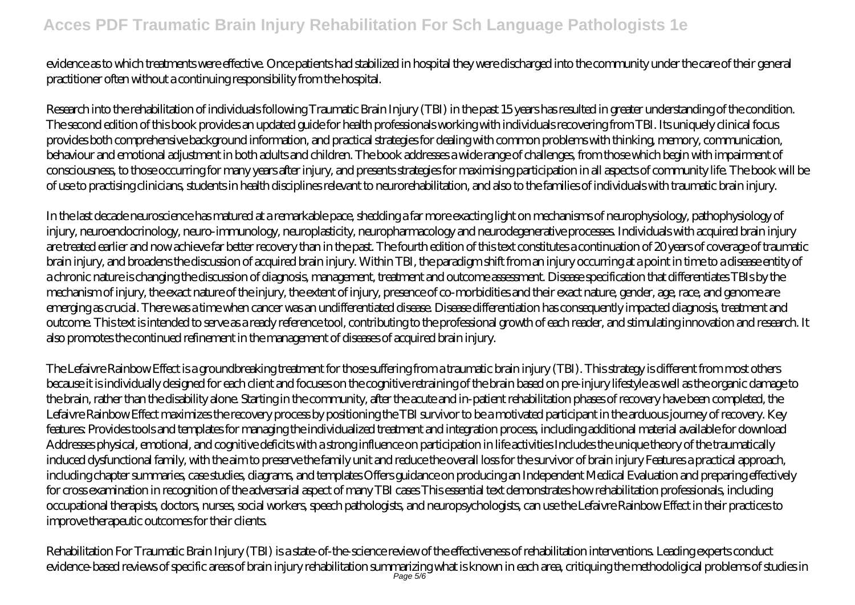# **Acces PDF Traumatic Brain Injury Rehabilitation For Sch Language Pathologists 1e**

evidence as to which treatments were effective. Once patients had stabilized in hospital they were discharged into the community under the care of their general practitioner often without a continuing responsibility from the hospital.

Research into the rehabilitation of individuals following Traumatic Brain Injury (TBI) in the past 15 years has resulted in greater understanding of the condition. The second edition of this book provides an updated guide for health professionals working with individuals recovering from TBI. Its uniquely clinical focus provides both comprehensive background information, and practical strategies for dealing with common problems with thinking, memory, communication, behaviour and emotional adjustment in both adults and children. The book addresses a wide range of challenges, from those which begin with impairment of consciousness, to those occurring for many years after injury, and presents strategies for maximising participation in all aspects of community life. The book will be of use to practising clinicians, students in health disciplines relevant to neurorehabilitation, and also to the families of individuals with traumatic brain injury.

In the last decade neuroscience has matured at a remarkable pace, shedding a far more exacting light on mechanisms of neurophysiology, pathophysiology of injury, neuroendocrinology, neuro-immunology, neuroplasticity, neuropharmacology and neurodegenerative processes. Individuals with acquired brain injury are treated earlier and now achieve far better recovery than in the past. The fourth edition of this text constitutes a continuation of 20 years of coverage of traumatic brain injury, and broadens the discussion of acquired brain injury. Within TBI, the paradigm shift from an injury occurring at a point in time to a disease entity of a chronic nature is changing the discussion of diagnosis, management, treatment and outcome assessment. Disease specification that differentiates TBIs by the mechanism of injury, the exact nature of the injury, the extent of injury, presence of co-morbidities and their exact nature, gender, age, race, and genome are emerging as crucial. There was a time when cancer was an undifferentiated disease. Disease differentiation has consequently impacted diagnosis, treatment and outcome. This text is intended to serve as a ready reference tool, contributing to the professional growth of each reader, and stimulating innovation and research. It also promotes the continued refinement in the management of diseases of acquired brain injury.

The Lefaivre Rainbow Effect is a groundbreaking treatment for those suffering from a traumatic brain injury (TBI). This strategy is different from most others because it is individually designed for each client and focuses on the cognitive retraining of the brain based on pre-injury lifestyle as well as the organic damage to the brain, rather than the disability alone. Starting in the community, after the acute and in-patient rehabilitation phases of recovery have been completed, the Lefaivre Rainbow Effect maximizes the recovery process by positioning the TBI survivor to be a motivated participant in the arduous journey of recovery. Key features: Provides tools and templates for managing the individualized treatment and integration process, including additional material available for download Addresses physical, emotional, and cognitive deficits with a strong influence on participation in life activities Includes the unique theory of the traumatically induced dysfunctional family, with the aim to preserve the family unit and reduce the overall loss for the survivor of brain injury Features a practical approach, including chapter summaries, case studies, diagrams, and templates Offers guidance on producing an Independent Medical Evaluation and preparing effectively for cross examination in recognition of the adversarial aspect of many TBI cases This essential text demonstrates how rehabilitation professionals, including occupational therapists, doctors, nurses, social workers, speech pathologists, and neuropsychologists, can use the Lefaivre Rainbow Effect in their practices to improve therapeutic outcomes for their clients.

Rehabilitation For Traumatic Brain Injury (TBI) is a state-of-the-science review of the effectiveness of rehabilitation interventions. Leading experts conduct evidence-based reviews of specific areas of brain injury rehabilitation summarizing what is known in each area, critiquing the methodoligical problems of studies in<br>Page 5/6